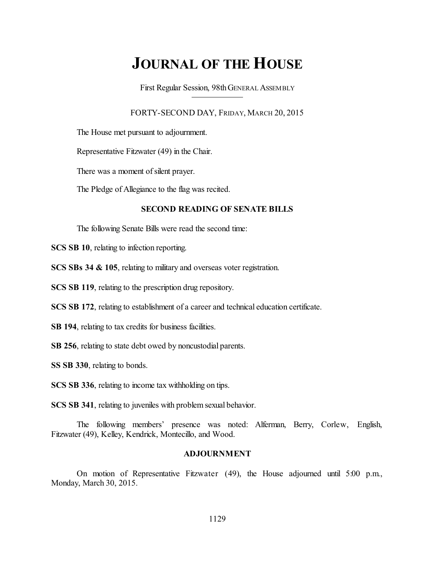# **JOURNAL OF THE HOUSE**

First Regular Session, 98thGENERAL ASSEMBLY

FORTY-SECOND DAY, FRIDAY, MARCH 20, 2015

The House met pursuant to adjournment.

Representative Fitzwater (49) in the Chair.

There was a moment of silent prayer.

The Pledge of Allegiance to the flag was recited.

#### **SECOND READING OF SENATE BILLS**

The following Senate Bills were read the second time:

**SCS SB 10**, relating to infection reporting.

**SCS SBs 34 & 105**, relating to military and overseas voter registration.

**SCS SB 119**, relating to the prescription drug repository.

**SCS SB 172**, relating to establishment of a career and technical education certificate.

**SB 194**, relating to tax credits for business facilities.

**SB 256**, relating to state debt owed by noncustodial parents.

**SS SB 330**, relating to bonds.

**SCS SB 336**, relating to income tax withholding on tips.

**SCS SB 341**, relating to juveniles with problem sexual behavior.

The following members' presence was noted: Alferman, Berry, Corlew, English, Fitzwater (49), Kelley, Kendrick, Montecillo, and Wood.

## **ADJOURNMENT**

On motion of Representative Fitzwater (49), the House adjourned until 5:00 p.m., Monday, March 30, 2015.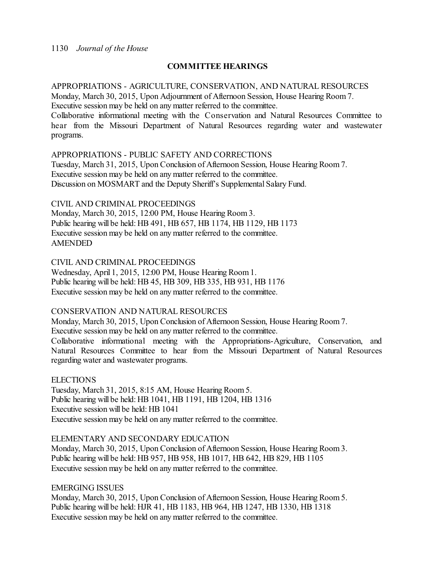## 1130 *Journal of the House*

# **COMMITTEE HEARINGS**

APPROPRIATIONS - AGRICULTURE, CONSERVATION, AND NATURAL RESOURCES Monday, March 30, 2015, Upon Adjournment of Afternoon Session, House Hearing Room 7. Executive session may be held on any matter referred to the committee. Collaborative informational meeting with the Conservation and Natural Resources Committee to hear from the Missouri Department of Natural Resources regarding water and wastewater programs.

## APPROPRIATIONS - PUBLIC SAFETY AND CORRECTIONS

Tuesday, March 31, 2015, Upon Conclusion of Afternoon Session, House Hearing Room 7. Executive session may be held on any matter referred to the committee. Discussion on MOSMART and the Deputy Sheriff's Supplemental Salary Fund.

## CIVIL AND CRIMINAL PROCEEDINGS

Monday, March 30, 2015, 12:00 PM, House Hearing Room 3. Public hearing will be held: HB 491, HB 657, HB 1174, HB 1129, HB 1173 Executive session may be held on any matter referred to the committee. AMENDED

# CIVIL AND CRIMINAL PROCEEDINGS

Wednesday, April 1, 2015, 12:00 PM, House Hearing Room1. Public hearing will be held: HB 45, HB 309, HB 335, HB 931, HB 1176 Executive session may be held on any matter referred to the committee.

## CONSERVATION AND NATURAL RESOURCES

Monday, March 30, 2015, Upon Conclusion of Afternoon Session, House Hearing Room 7. Executive session may be held on any matter referred to the committee.

Collaborative informational meeting with the Appropriations-Agriculture, Conservation, and Natural Resources Committee to hear from the Missouri Department of Natural Resources regarding water and wastewater programs.

## ELECTIONS

Tuesday, March 31, 2015, 8:15 AM, House Hearing Room 5. Public hearing will be held: HB 1041, HB 1191, HB 1204, HB 1316 Executive session will be held: HB 1041 Executive session may be held on any matter referred to the committee.

## ELEMENTARY AND SECONDARY EDUCATION

Monday, March 30, 2015, Upon Conclusion of Afternoon Session, House Hearing Room 3. Public hearing will be held: HB 957, HB 958, HB 1017, HB 642, HB 829, HB 1105 Executive session may be held on any matter referred to the committee.

EMERGING ISSUES

Monday, March 30, 2015, Upon Conclusion of Afternoon Session, House Hearing Room 5. Public hearing will be held: HJR 41, HB 1183, HB 964, HB 1247, HB 1330, HB 1318 Executive session may be held on any matter referred to the committee.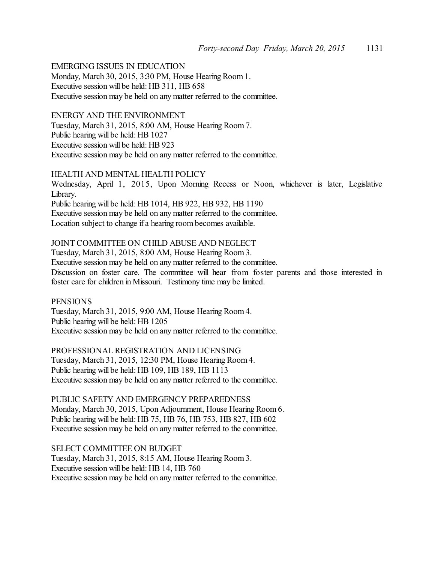# EMERGING ISSUES IN EDUCATION

Monday, March 30, 2015, 3:30 PM, House Hearing Room 1. Executive session will be held: HB 311, HB 658 Executive session may be held on any matter referred to the committee.

#### ENERGY AND THE ENVIRONMENT

Tuesday, March 31, 2015, 8:00 AM, House Hearing Room 7. Public hearing will be held: HB 1027 Executive session will be held: HB 923 Executive session may be held on any matter referred to the committee.

### HEALTH AND MENTAL HEALTH POLICY

Wednesday, April 1, 2015, Upon Morning Recess or Noon, whichever is later, Legislative Library. Public hearing will be held: HB 1014, HB 922, HB 932, HB 1190

Executive session may be held on any matter referred to the committee.

Location subject to change if a hearing room becomes available.

## JOINT COMMITTEE ON CHILD ABUSE AND NEGLECT

Tuesday, March 31, 2015, 8:00 AM, House Hearing Room 3. Executive session may be held on any matter referred to the committee. Discussion on foster care. The committee will hear from foster parents and those interested in foster care for children in Missouri. Testimony time may be limited.

**PENSIONS** Tuesday, March 31, 2015, 9:00 AM, House Hearing Room 4. Public hearing will be held: HB 1205 Executive session may be held on any matter referred to the committee.

PROFESSIONAL REGISTRATION AND LICENSING Tuesday, March 31, 2015, 12:30 PM, House Hearing Room 4. Public hearing will be held: HB 109, HB 189, HB 1113 Executive session may be held on any matter referred to the committee.

PUBLIC SAFETY AND EMERGENCY PREPAREDNESS Monday, March 30, 2015, Upon Adjournment, House Hearing Room 6. Public hearing will be held: HB 75, HB 76, HB 753, HB 827, HB 602 Executive session may be held on any matter referred to the committee.

SELECT COMMITTEE ON BUDGET Tuesday, March 31, 2015, 8:15 AM, House Hearing Room 3. Executive session will be held: HB 14, HB 760 Executive session may be held on any matter referred to the committee.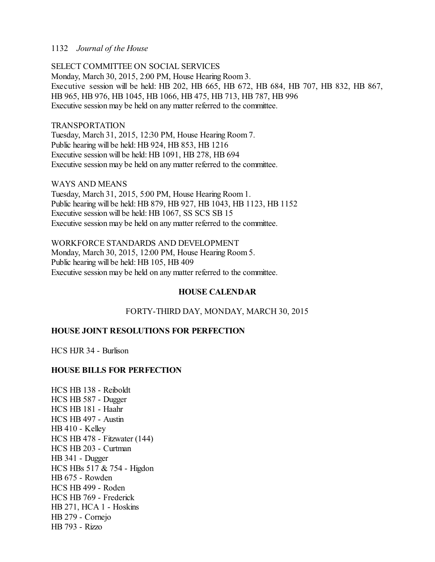## 1132 *Journal of the House*

SELECT COMMITTEE ON SOCIAL SERVICES Monday, March 30, 2015, 2:00 PM, House Hearing Room 3. Executive session will be held: HB 202, HB 665, HB 672, HB 684, HB 707, HB 832, HB 867, HB 965, HB 976, HB 1045, HB 1066, HB 475, HB 713, HB 787, HB 996 Executive session may be held on any matter referred to the committee.

## TRANSPORTATION

Tuesday, March 31, 2015, 12:30 PM, House Hearing Room 7. Public hearing will be held: HB 924, HB 853, HB 1216 Executive session will be held: HB 1091, HB 278, HB 694 Executive session may be held on any matter referred to the committee.

## WAYS AND MEANS

Tuesday, March 31, 2015, 5:00 PM, House Hearing Room 1. Public hearing will be held: HB 879, HB 927, HB 1043, HB 1123, HB 1152 Executive session will be held: HB 1067, SS SCS SB 15 Executive session may be held on any matter referred to the committee.

# WORKFORCE STANDARDS AND DEVELOPMENT

Monday, March 30, 2015, 12:00 PM, House Hearing Room 5. Public hearing will be held: HB 105, HB 409 Executive session may be held on any matter referred to the committee.

# **HOUSE CALENDAR**

# FORTY-THIRD DAY, MONDAY, MARCH 30, 2015

# **HOUSE JOINT RESOLUTIONS FOR PERFECTION**

HCS HJR 34 - Burlison

## **HOUSE BILLS FOR PERFECTION**

HCS HB 138 - Reiboldt HCS HB 587 - Dugger HCS HB 181 - Haahr HCS HB 497 - Austin HB 410 - Kelley HCS HB 478 - Fitzwater (144) HCS HB 203 - Curtman HB 341 - Dugger HCS HBs 517 & 754 - Higdon HB 675 - Rowden HCS HB 499 - Roden HCS HB 769 - Frederick HB 271, HCA 1 - Hoskins HB 279 - Cornejo HB 793 - Rizzo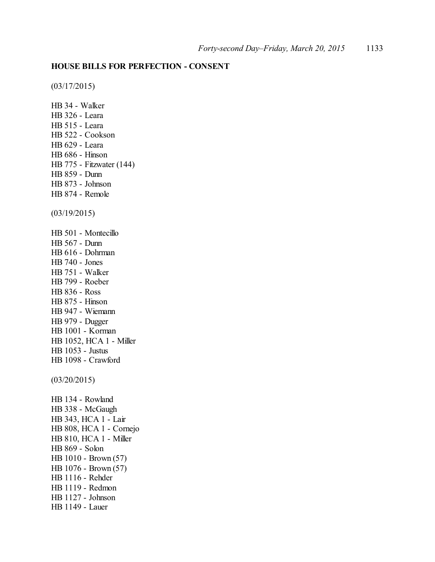# **HOUSE BILLS FOR PERFECTION - CONSENT**

(03/17/2015)

HB 34 - Walker HB 326 - Leara HB 515 - Leara HB 522 - Cookson HB 629 - Leara HB 686 - Hinson HB 775 - Fitzwater (144) HB 859 - Dunn HB 873 - Johnson HB 874 - Remole (03/19/2015) HB 501 - Montecillo HB 567 - Dunn HB 616 - Dohrman HB 740 - Jones HB 751 - Walker HB 799 - Roeber HB 836 - Ross HB 875 - Hinson HB 947 - Wiemann HB 979 - Dugger HB 1001 - Korman HB 1052, HCA 1 - Miller HB 1053 - Justus HB 1098 - Crawford (03/20/2015) HB 134 - Rowland HB 338 - McGaugh HB 343, HCA 1 - Lair HB 808, HCA 1 - Cornejo HB 810, HCA 1 - Miller HB 869 - Solon HB 1010 - Brown (57) HB 1076 - Brown (57) HB 1116 - Rehder HB 1119 - Redmon HB 1127 - Johnson HB 1149 - Lauer